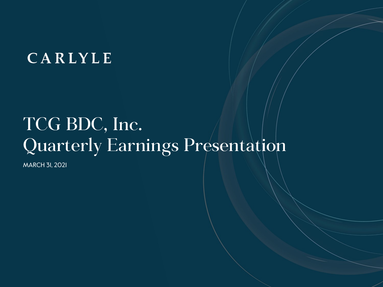## CARLYLE

# TCG BDC, Inc. Quarterly Earnings Presentation

MARCH 31, 2021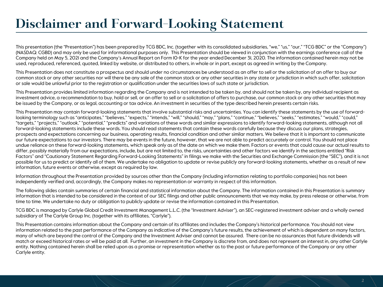### **Disclaimer and Forward-Looking Statement**

This presentation (the "Presentation") has been prepared by TCG BDC, Inc. (together with its consolidated subsidiaries, "we," "us," "our," "TCG BDC" or the "Company") (NASDAQ: CGBD) and may only be used for informational purposes only. This Presentation should be viewed in conjunction with the earnings conference call of the Company held on May 5, 2021 and the Company's Annual Report on Form 10-K for the year ended December 31, 2020. The information contained herein may not be used, reproduced, referenced, quoted, linked by website, or distributed to others, in whole or in part, except as agreed in writing by the Company.

This Presentation does not constitute a prospectus and should under no circumstances be understood as an offer to sell or the solicitation of an offer to buy our common stock or any other securities nor will there be any sale of the common stock or any other securities in any state or jurisdiction in which such offer, solicitation or sale would be unlawful prior to the registration or qualification under the securities laws of such state or jurisdiction.

This Presentation provides limited information regarding the Company and is not intended to be taken by, and should not be taken by, any individual recipient as investment advice, a recommendation to buy, hold or sell, or an offer to sell or a solicitation of offers to purchase, our common stock or any other securities that may be issued by the Company, or as legal, accounting or tax advice. An investment in securities of the type described herein presents certain risks.

This Presentation may contain forward-looking statements that involve substantial risks and uncertainties. You can identify these statements by the use of forwardlooking terminology such as "anticipates," "believes," "expects," "intends," "will," "should," "may," "plans," "continue," "believes," "seeks," "estimates," "would," "could," "targets," "projects," "outlook," "potential," "predicts" and variations of these words and similar expressions to identify forward-looking statements, although not all forward-looking statements include these words. You should read statements that contain these words carefully because they discuss our plans, strategies, prospects and expectations concerning our business, operating results, financial condition and other similar matters. We believe that it is important to communicate our future expectations to our investors. There may be events in the future, however, that we are not able to predict accurately or control. You should not place undue reliance on these forward-looking statements, which speak only as of the date on which we make them. Factors or events that could cause our actual results to differ, possibly materially from our expectations, include, but are not limited to, the risks, uncertainties and other factors we identify in the sections entitled "Risk Factors" and "Cautionary Statement Regarding Forward-Looking Statements" in filings we make with the Securities and Exchange Commission (the "SEC"), and it is not possible for us to predict or identify all of them. We undertake no obligation to update or revise publicly any forward-looking statements, whether as a result of new information, future events or otherwise, except as required by law.

Information throughout the Presentation provided by sources other than the Company (including information relating to portfolio companies) has not been independently verified and, accordingly, the Company makes no representation or warranty in respect of this information.

The following slides contain summaries of certain financial and statistical information about the Company. The information contained in this Presentation is summary information that is intended to be considered in the context of our SEC filings and other public announcements that we may make, by press release or otherwise, from time to time. We undertake no duty or obligation to publicly update or revise the information contained in this Presentation.

TCG BDC is managed by Carlyle Global Credit Investment Management L.L.C. (the "Investment Adviser"), an SEC-registered investment adviser and a wholly owned subsidiary of The Carlyle Group Inc. (together with its affiliates, "Carlyle").

This Presentation contains information about the Company and certain of its affiliates and includes the Company's historical performance. You should not view information related to the past performance of the Company as indicative of the Company's future results, the achievement of which is dependent on many factors, many of which are beyond the control of the Company and the Investment Adviser and cannot be assured. There can be no assurances that future dividends will match or exceed historical rates or will be paid at all. Further, an investment in the Company is discrete from, and does not represent an interest in, any other Carlyle entity. Nothing contained herein shall be relied upon as a promise or representation whether as to the past or future performance of the Company or any other Carlyle entity.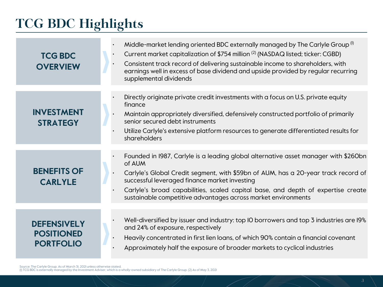## **TCG BDC Highlights**

| <b>TCG BDC</b><br><b>OVERVIEW</b>                           | Middle-market lending oriented BDC externally managed by The Carlyle Group <sup>(1)</sup><br>Current market capitalization of \$754 million <sup>(2)</sup> (NASDAQ listed; ticker: CGBD)<br>Consistent track record of delivering sustainable income to shareholders, with<br>earnings well in excess of base dividend and upside provided by regular recurring<br>supplemental dividends |
|-------------------------------------------------------------|-------------------------------------------------------------------------------------------------------------------------------------------------------------------------------------------------------------------------------------------------------------------------------------------------------------------------------------------------------------------------------------------|
| <b>INVESTMENT</b><br><b>STRATEGY</b>                        | Directly originate private credit investments with a focus on U.S. private equity<br>finance<br>Maintain appropriately diversified, defensively constructed portfolio of primarily<br>senior secured debt instruments<br>Utilize Carlyle's extensive platform resources to generate differentiated results for<br>shareholders                                                            |
| <b>BENEFITS OF</b><br><b>CARLYLE</b>                        | Founded in 1987, Carlyle is a leading global alternative asset manager with \$260bn<br>of AUM<br>Carlyle's Global Credit segment, with \$59bn of AUM, has a 20-year track record of<br>successful leveraged finance market investing<br>Carlyle's broad capabilities, scaled capital base, and depth of expertise create<br>sustainable competitive advantages across market environments |
| <b>DEFENSIVELY</b><br><b>POSITIONED</b><br><b>PORTFOLIO</b> | Well-diversified by issuer and industry: top IO borrowers and top 3 industries are I9%<br>and 24% of exposure, respectively<br>Heavily concentrated in first lien loans, of which 90% contain a financial covenant<br>Approximately half the exposure of broader markets to cyclical industries                                                                                           |

Source: The Carlyle Group. As of March 31, 2021 unless otherwise stated.<br>(I) TCG BDC is externally managed by the Investment Adviser, which is a wholly-owned subsidiary of The Carlyle Group. (2) As of May 3, 2021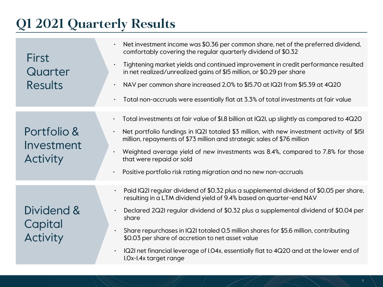### **Q1 2021 Quarterly Results**

| <b>First</b><br>Quarter<br><b>Results</b> | Net investment income was \$0.36 per common share, net of the preferred dividend,<br>comfortably covering the regular quarterly dividend of \$0.32<br>Tightening market yields and continued improvement in credit performance resulted<br>$\bullet$<br>in net realized/unrealized gains of \$15 million, or \$0.29 per share<br>NAV per common share increased 2.0% to \$15.70 at IQ2I from \$15.39 at 4Q20<br>$\bullet$<br>Total non-accruals were essentially flat at 3.3% of total investments at fair value<br>$\bullet$ |
|-------------------------------------------|-------------------------------------------------------------------------------------------------------------------------------------------------------------------------------------------------------------------------------------------------------------------------------------------------------------------------------------------------------------------------------------------------------------------------------------------------------------------------------------------------------------------------------|
|                                           |                                                                                                                                                                                                                                                                                                                                                                                                                                                                                                                               |
|                                           | Total investments at fair value of \$1.8 billion at IQ2I, up slightly as compared to 4Q20<br>$\bullet$                                                                                                                                                                                                                                                                                                                                                                                                                        |
| Portfolio &<br>Investment                 | Net portfolio fundings in IQ2I totaled \$3 million, with new investment activity of \$151<br>million, repayments of \$73 million and strategic sales of \$76 million                                                                                                                                                                                                                                                                                                                                                          |
| <b>Activity</b>                           | Weighted average yield of new investments was 8.4%, compared to 7.8% for those<br>that were repaid or sold                                                                                                                                                                                                                                                                                                                                                                                                                    |
|                                           | Positive portfolio risk rating migration and no new non-accruals<br>$\bullet$                                                                                                                                                                                                                                                                                                                                                                                                                                                 |
|                                           | Paid IQ2I regular dividend of \$0.32 plus a supplemental dividend of \$0.05 per share,<br>resulting in a LTM dividend yield of 9.4% based on quarter-end NAV                                                                                                                                                                                                                                                                                                                                                                  |
| Dividend &<br>Capital                     | Declared 2Q2I regular dividend of \$0.32 plus a supplemental dividend of \$0.04 per<br>$\bullet$<br>share                                                                                                                                                                                                                                                                                                                                                                                                                     |
| <b>Activity</b>                           | Share repurchases in IQ2I totaled 0.5 million shares for \$5.6 million, contributing<br>$\bullet$<br>\$0.03 per share of accretion to net asset value                                                                                                                                                                                                                                                                                                                                                                         |
|                                           | IQ2I net financial leverage of I.04x, essentially flat to 4Q20 and at the lower end of<br>I.Ox-I.4x target range                                                                                                                                                                                                                                                                                                                                                                                                              |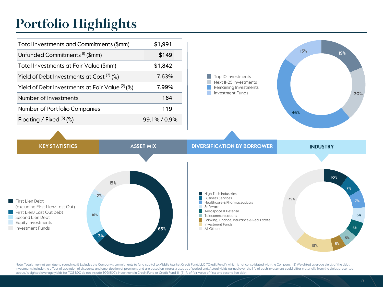### **Portfolio Highlights**

| Total Investments and Commitments (\$mm)         | \$1,991      |
|--------------------------------------------------|--------------|
| Unfunded Commitments <sup>(I)</sup> (\$mm)       | \$149        |
| Total Investments at Fair Value (\$mm)           | \$1,842      |
| Yield of Debt Investments at Cost $(2)$ (%)      | 7.63%        |
| Yield of Debt Investments at Fair Value $(2)(%)$ | 7.99%        |
| Number of Investments                            | 164          |
| Number of Portfolio Companies                    | 119          |
| Floating / Fixed $(3)$ (%)                       | 99.1% / 0.9% |



First Lien Debt (excluding First Lien/Last Out) **First Lien/Last Out Debt** Second Lien Debt Equity Investments **Investment Funds** 



**High Tech Industries Business Services** Healthcare & Pharmaceuticals Software Aerospace & Defense Telecommunications Banking, Finance, Insurance & Real Estate **Tale Investment Funds** All Others



Note: Totals may not sum due to rounding. (I) Excludes the Company's commitments to fund capital to Middle Market Credit Fund, LLC ("Credit Fund"), which is not consolidated with the Company. (2) Weighted average yields of investments include the effect of accretion of discounts and amortization of premiums and are based on interest rates as of period end. Actual yields earned over the life of each investment could differ materially from the above. Weighted average yields for TCG BDC do not include TCG BDC's investment in Credit Fund or Credit Fund II. (3) % of fair value of first and second lien debt.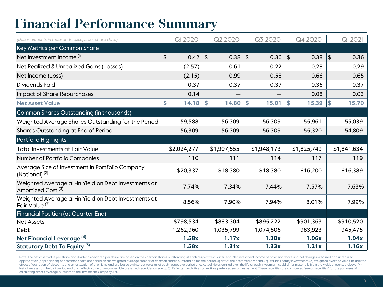### **Financial Performance Summary**

| (Dollar amounts in thousands, except per share data)                                  | QI 2020                 | Q2 2020     | Q3 2020     |    | Q4 2020     |            | QI 2021     |
|---------------------------------------------------------------------------------------|-------------------------|-------------|-------------|----|-------------|------------|-------------|
| Key Metrics per Common Share                                                          |                         |             |             |    |             |            |             |
| Net Investment Income <sup>(I)</sup>                                                  | \$<br>$0.42 \text{ } $$ | $0.38$ \$   | $0.36$ \$   |    | $0.38$   \$ |            | 0.36        |
| Net Realized & Unrealized Gains (Losses)                                              | (2.57)                  | 0.61        | 0.22        |    | 0.28        |            | 0.29        |
| Net Income (Loss)                                                                     | (2.15)                  | 0.99        | 0.58        |    | 0.66        |            | 0.65        |
| <b>Dividends Paid</b>                                                                 | 0.37                    | 0.37        | 0.37        |    | 0.36        |            | 0.37        |
| Impact of Share Repurchases                                                           | 0.14                    |             |             |    | 0.08        |            | 0.03        |
| <b>Net Asset Value</b>                                                                | \$<br>$14.18$ \$        | 14.80       | \$<br>15.01 | S. | 15.39       | $\vert$ \$ | 15.70       |
| Common Shares Outstanding (in thousands)                                              |                         |             |             |    |             |            |             |
| Weighted Average Shares Outstanding for the Period                                    | 59,588                  | 56,309      | 56,309      |    | 55,961      |            | 55,039      |
| Shares Outstanding at End of Period                                                   | 56,309                  | 56,309      | 56,309      |    | 55,320      |            | 54,809      |
| Portfolio Highlights                                                                  |                         |             |             |    |             |            |             |
| <b>Total Investments at Fair Value</b>                                                | \$2,024,277             | \$1,907,555 | \$1,948,173 |    | \$1,825,749 |            | \$1,841,634 |
| Number of Portfolio Companies                                                         | 110                     | 111         | 114         |    | 117         |            | 119         |
| Average Size of Investment in Portfolio Company<br>(Notional) $(2)$                   | \$20,337                | \$18,380    | \$18,380    |    | \$16,200    |            | \$16,389    |
| Weighted Average all-in Yield on Debt Investments at<br>Amortized Cost <sup>(3)</sup> | 7.74%                   | 7.34%       | 7.44%       |    | 7.57%       |            | 7.63%       |
| Weighted Average all-in Yield on Debt Investments at<br>Fair Value <sup>(3)</sup>     | 8.56%                   | 7.90%       | 7.94%       |    | 8.01%       |            | 7.99%       |
| <b>Financial Position (at Quarter End)</b>                                            |                         |             |             |    |             |            |             |
| <b>Net Assets</b>                                                                     | \$798,534               | \$883,304   | \$895,222   |    | \$901,363   |            | \$910,520   |
| Debt                                                                                  | 1,262,960               | 1,035,799   | 1,074,806   |    | 983,923     |            | 945,475     |
| Net Financial Leverage <sup>(4)</sup>                                                 | 1.58x                   | 1.17x       | 1.20x       |    | 1.06x       |            | 1.04x       |
| Statutory Debt To Equity <sup>(5)</sup>                                               | 1.58x                   | 1.31x       | 1.33x       |    | 1.21x       |            | 1.16x       |

Note: The net asset value per share and dividends declared per share are based on the common shares outstanding at each respective quarter-end. Net investment income per common share and net change in realized and unrealized appreciation (depreciation) per common share are based on the weighted average number of common shares outstanding for the period. (I) Net of the preferred dividend. (2) Excludes equity investments. (3) Weighted average yi effect of accretion of discounts and amortization of premiums and are based on interest rates as of each respective period end. Actual yields earned over the life of each investment could differ materially from the yields Net of excess cash held at period end and reflects cumulative convertible preferred securities as equity. (5) Reflects cumulative convertible preferred securities as debt. These securities are considered "senior securities calculating asset coverage pursuant to the Investment Company Act.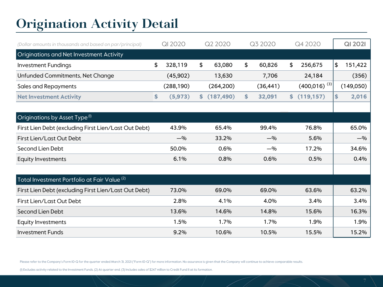### **Origination Activity Detail**

| (Dollar amounts in thousands and based on par/principal) | <b>QI 2020</b> |    | Q2 2020    | Q3 2020      | Q4 2020           | <b>QI 2021</b> |
|----------------------------------------------------------|----------------|----|------------|--------------|-------------------|----------------|
| Originations and Net Investment Activity                 |                |    |            |              |                   |                |
| <b>Investment Fundings</b>                               | \$<br>328,119  | \$ | 63,080     | \$<br>60,826 | \$<br>256,675     | \$<br>151,422  |
| Unfunded Commitments, Net Change                         | (45,902)       |    | 13,630     | 7,706        | 24,184            | (356)          |
| <b>Sales and Repayments</b>                              | (288, 190)     |    | (264, 200) | (36, 441)    | $(400,016)^{(3)}$ | (149,050)      |
| <b>Net Investment Activity</b>                           | \$<br>(5, 973) | S. | (187, 490) | \$<br>32,091 | \$<br>(119, 157)  | \$<br>2,016    |
|                                                          |                |    |            |              |                   |                |
| Originations by Asset Type <sup>(I)</sup>                |                |    |            |              |                   |                |
| First Lien Debt (excluding First Lien/Last Out Debt)     | 43.9%          |    | 65.4%      | 99.4%        | 76.8%             | 65.0%          |
| First Lien/Last Out Debt                                 | $-$ %          |    | 33.2%      | $-9/0$       | 5.6%              | $-$ %          |
| Second Lien Debt                                         | 50.0%          |    | 0.6%       | $-$ %        | 17.2%             | 34.6%          |
| <b>Equity Investments</b>                                | 6.1%           |    | 0.8%       | 0.6%         | 0.5%              | 0.4%           |
|                                                          |                |    |            |              |                   |                |
| Total Investment Portfolio at Fair Value <sup>(2)</sup>  |                |    |            |              |                   |                |
| First Lien Debt (excluding First Lien/Last Out Debt)     | 73.0%          |    | 69.0%      | 69.0%        | 63.6%             | 63.2%          |
| First Lien/Last Out Debt                                 | 2.8%           |    | 4.1%       | 4.0%         | 3.4%              | 3.4%           |
| Second Lien Debt                                         | 13.6%          |    | 14.6%      | 14.8%        | 15.6%             | 16.3%          |
| <b>Equity Investments</b>                                | 1.5%           |    | 1.7%       | 1.7%         | 1.9%              | 1.9%           |
| <b>Investment Funds</b>                                  | 9.2%           |    | 10.6%      | 10.5%        | 15.5%             | 15.2%          |

Please refer to the Company's Form IO-Q for the quarter ended March 31, 2021 ("Form IO-Q") for more information. No assurance is given that the Company will continue to achieve comparable results.

(1) Excludes activity related to the Investment Funds. (2) At quarter end. (3) Includes sales of \$247 million to Credit Fund II at its formation.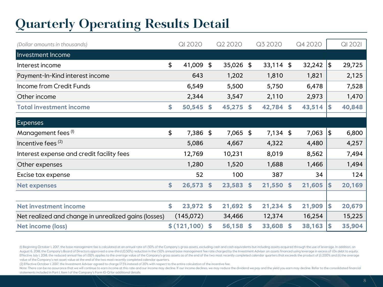### **Quarterly Operating Results Detail**

| (Dollar amounts in thousands)                        | <b>QI 2020</b> |    | Q2 2020     |                    | Q3 2020     |                    | Q4 2020 |               | QI 2021 |
|------------------------------------------------------|----------------|----|-------------|--------------------|-------------|--------------------|---------|---------------|---------|
| Investment Income                                    |                |    |             |                    |             |                    |         |               |         |
| Interest income                                      | \$<br>41,009   | \$ | 35,026 \$   |                    | $33,114$ \$ |                    | 32,242  | $\frac{1}{2}$ | 29,725  |
| Payment-In-Kind interest income                      | 643            |    | 1,202       |                    | 1,810       |                    | 1,821   |               | 2,125   |
| Income from Credit Funds                             | 6,549          |    | 5,500       |                    | 5,750       |                    | 6,478   |               | 7,528   |
| Other income                                         | 2,344          |    | 3,547       |                    | 2,110       |                    | 2,973   |               | 1,470   |
| <b>Total investment income</b>                       | \$<br>50,545   | S. | $45,275$ \$ |                    | 42,784 \$   |                    | 43,514  | \$            | 40,848  |
|                                                      |                |    |             |                    |             |                    |         |               |         |
| Expenses                                             |                |    |             |                    |             |                    |         |               |         |
| Management fees <sup>(I)</sup>                       | \$<br>7,386    | \$ | 7,065 \$    |                    | $7,134$ \$  |                    | 7,063   | \$            | 6,800   |
| Incentive fees $(2)$                                 | 5,086          |    | 4,667       |                    | 4,322       |                    | 4,480   |               | 4,257   |
| Interest expense and credit facility fees            | 12,769         |    | 10,231      |                    | 8,019       |                    | 8,562   |               | 7,494   |
| Other expenses                                       | 1,280          |    | 1,520       |                    | 1,688       |                    | 1,466   |               | 1,494   |
| Excise tax expense                                   | 52             |    | 100         |                    | 387         |                    | 34      |               | 124     |
| <b>Net expenses</b>                                  | \$<br>26,573   | \$ | 23,583      | $\mathbf{\hat{5}}$ | 21,550      | \$                 | 21,605  | S.            | 20,169  |
|                                                      |                |    |             |                    |             |                    |         |               |         |
| <b>Net investment income</b>                         | \$<br>23,972   | \$ | 21,692      | $\mathbf{\hat{S}}$ | 21,234      | $\mathbf{\hat{S}}$ | 21,909  | \$            | 20,679  |
| Net realized and change in unrealized gains (losses) | (145,072)      |    | 34,466      |                    | 12,374      |                    | 16,254  |               | 15,225  |
| Net income (loss)                                    | \$(121,100)    | \$ | 56,158      | $\mathbf{\hat{5}}$ | 33,608      | \$                 | 38,163  | \$            | 35,904  |

(I) Beginning October I, 2017, the base management fee is calculated at an annual rate of I.50% of the Company's gross assets, excluding cash and cash equivalents but including assets acquired through the use of leverage. August 6, 2018, the Company's Board of Directors approved a one-third (0.50%) reduction in the 1.50% annual base management fee rate charged by the Investment Adviser on assets financed using leverage in excess of I.Ox deb Effective July I, 2018, the reduced annual fee of I.00% applies to the average value of the Company's gross assets as of the end of the two most recently completed calendar quarters that exceeds the product of (i) 200% and value of the Company's net asset value at the end of the two most recently completed calendar quarters.

(2) Effective October 1, 2017, the Investment Adviser agreed to charge 17.5% instead of 20% with respect to the entire calculation of the incentive fee.

Note: There can be no assurance that we will continue to earn income at this rate and our income may decline. If our income declines, we may reduce the dividend we pay and the yield you earn may decline. Refer to the conso statements included in Part I, Item 1 of the Company's Form 10-Q for additional details.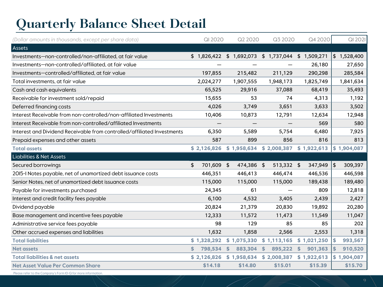## **Quarterly Balance Sheet Detail**

| (Dollar amounts in thousands, except per share data)                    | QI 2020          | Q2 2020                   | Q3 2020                 | Q4 2020       | QI 2021        |
|-------------------------------------------------------------------------|------------------|---------------------------|-------------------------|---------------|----------------|
| Assets                                                                  |                  |                           |                         |               |                |
| Investments-non-controlled/non-affiliated, at fair value                |                  | $$1,826,422$ $$1,692,073$ | \$1,737,044             | \$1,509,271   | \$1,528,400    |
| Investments-non-controlled/affiliated, at fair value                    |                  |                           |                         | 26,180        | 27,650         |
| Investments-controlled/affiliated, at fair value                        | 197,855          | 215,482                   | 211,129                 | 290,298       | 285,584        |
| Total investments, at fair value                                        | 2,024,277        | 1,907,555                 | 1,948,173               | 1,825,749     | 1,841,634      |
| Cash and cash equivalents                                               | 65,525           | 29,916                    | 37,088                  | 68,419        | 35,493         |
| Receivable for investment sold/repaid                                   | 15,655           | 53                        | 74                      | 4,313         | 1,192          |
| Deferred financing costs                                                | 4,026            | 3,749                     | 3,651                   | 3,633         | 3,502          |
| Interest Receivable from non-controlled/non-affiliated Investments      | 10,406           | 10,873                    | 12,791                  | 12,634        | 12,948         |
| Interest Receivable from non-controlled/affiliated Investments          |                  |                           |                         | 569           | 580            |
| Interest and Dividend Receivable from controlled/affiliated Investments | 6,350            | 5,589                     | 5,754                   | 6,480         | 7,925          |
| Prepaid expenses and other assets                                       | 587              | 899                       | 856                     | 816           | 813            |
| <b>Total assets</b>                                                     | \$2,126,826      | \$1,958,634               | \$2,008,387             | \$1,922,613   | \$1,904,087    |
| <b>Liabilities &amp; Net Assets</b>                                     |                  |                           |                         |               |                |
| Secured borrowings                                                      | \$<br>701,609 \$ | 474,386                   | 513,332 \$<br>- \$      | 347,949       | \$<br>309,397  |
| 2015-I Notes payable, net of unamortized debt issuance costs            | 446,351          | 446,413                   | 446,474                 | 446,536       | 446,598        |
| Senior Notes, net of unamortized debt issuance costs                    | 115,000          | 115,000                   | 115,000                 | 189,438       | 189,480        |
| Payable for investments purchased                                       | 24,345           | 61                        |                         | 809           | 12,818         |
| Interest and credit facility fees payable                               | 6,100            | 4,532                     | 3,405                   | 2,439         | 2,427          |
| Dividend payable                                                        | 20,824           | 21,379                    | 20,830                  | 19,892        | 20,280         |
| Base management and incentive fees payable                              | 12,333           | 11,572                    | 11,473                  | 11,549        | 11,047         |
| Administrative service fees payable                                     | 98               | 129                       | 85                      | 85            | 202            |
| Other accrued expenses and liabilities                                  | 1,632            | 1,858                     | 2,566                   | 2,553         | 1,318          |
| <b>Total liabilities</b>                                                | \$1,328,292      | \$1,075,330               | \$1,113,165             | \$1,021,250   | \$<br>993,567  |
| <b>Net assets</b>                                                       | \$.<br>798,534   | <sup>\$</sup><br>883,304  | $\mathbf{s}$<br>895,222 | \$<br>901,363 | 910,520<br>\$. |
| <b>Total liabilities &amp; net assets</b>                               | \$2,126,826      | \$1,958,634               | \$2,008,387             | \$1,922,613   | \$1,904,087    |
| <b>Net Asset Value Per Common Share</b>                                 | \$14.18          | \$14.80                   | \$15.01                 | \$15.39       | \$15.70        |

Please refer to the Company's Form 10-Q for more information.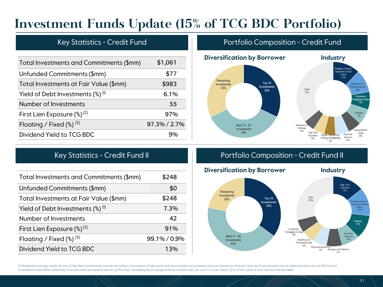### **Investment Funds Update (15% of TCG BDC Portfolio)**

| Total Investments and Commitments (\$mm)                   | \$1,061      |
|------------------------------------------------------------|--------------|
| Unfunded Commitments (\$mm)                                | \$77         |
| Total Investments at Fair Value (\$mm)                     | \$983        |
| Yield of Debt Investments $\left(\frac{8}{9}\right)^{(1)}$ | $6.1\%$      |
| Number of Investments                                      | 55           |
| First Lien Exposure $(\%)^{(2)}$                           | 97%          |
| Floating / Fixed $(\%)^{(3)}$                              | 97.3% / 2.7% |
| Dividend Yield to TCG BDC                                  |              |

### Key Statistics - Credit Fund **Portfolio Composition - Credit Fund**



| Total Investments and Commitments (\$mm)        | \$248        |
|-------------------------------------------------|--------------|
| Unfunded Commitments (\$mm)                     | \$0          |
| Total Investments at Fair Value (\$mm)          | \$248        |
| Yield of Debt Investments $(\%)$ <sup>(i)</sup> | 7.3%         |
| Number of Investments                           | 42           |
| First Lien Exposure $(\%)^{(2)}$                | 91%          |
| Floating / Fixed $(\%)^{(3)}$                   | 99.1% / 0.9% |
| Dividend Yield to TCG BDC                       | 13%          |

### Key Statistics - Credit Fund II **Portfolio Composition - Credit Fund II**



(I) Weighted average yields at cost of the debt investments include the effect of accretion of discounts and amortization of premiums and are based on interest rates as of period end. Actual yields earned over the life of investment could differ materially from the yields presented above. (2) First lien, excluding loans categorized as first lien last out, as a % of fair value. (3) % of fair value of first and second lien debt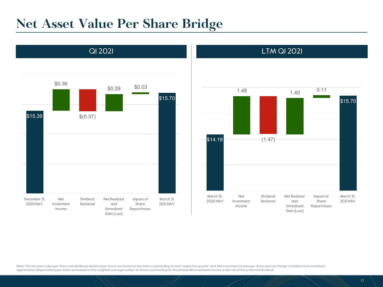### **Net Asset Value Per Share Bridge**





Note: The net asset value per share and dividends declared per share are based on the shares outstanding at each respective quarter-end. Net investment income per share and net change in realized and unrealized appreciation (depreciation) per share are based on the weighted average number of shares outstanding for the period. Net investment income is also net of the preferred dividend.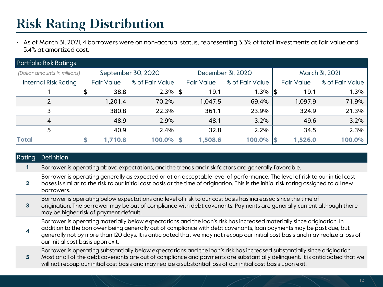### **Risk Rating Distribution**

• As of March 31, 2021, 4 borrowers were on non-accrual status, representing 3.3% of total investments at fair value and 5.4% at amortized cost.

| <b>Portfolio Risk Ratings</b> |                                         |                   |                 |   |                   |                 |     |                   |                 |
|-------------------------------|-----------------------------------------|-------------------|-----------------|---|-------------------|-----------------|-----|-------------------|-----------------|
| (Dollar amounts in millions)  | September 30, 2020<br>December 3I, 2020 |                   |                 |   |                   |                 |     | March 3I, 2021    |                 |
| <b>Internal Risk Rating</b>   |                                         | <b>Fair Value</b> | % of Fair Value |   | <b>Fair Value</b> | % of Fair Value |     | <b>Fair Value</b> | % of Fair Value |
|                               | \$                                      | 38.8              | $2.3\%$ \$      |   | 19.1              | 1.3%            | 1\$ | 19.1              | 1.3%            |
| 2                             |                                         | 1,201.4           | 70.2%           |   | 1,047.5           | 69.4%           |     | 1,097.9           | 71.9%           |
| 3                             |                                         | 380.8             | 22.3%           |   | 361.1             | 23.9%           |     | 324.9             | 21.3%           |
| 4                             |                                         | 48.9              | 2.9%            |   | 48.1              | 3.2%            |     | 49.6              | 3.2%            |
| 5                             |                                         | 40.9              | 2.4%            |   | 32.8              | 2.2%            |     | 34.5              | 2.3%            |
| <b>Total</b>                  |                                         | 1,710.8           | 100.0%          | S | 1,508.6           | 100.0%          |     | 1,526.0           | 100.0%          |

| <b>Rating</b> | Definition                                                                                                                                                                                                                                                                                                                                                                                                          |
|---------------|---------------------------------------------------------------------------------------------------------------------------------------------------------------------------------------------------------------------------------------------------------------------------------------------------------------------------------------------------------------------------------------------------------------------|
|               | Borrower is operating above expectations, and the trends and risk factors are generally favorable.                                                                                                                                                                                                                                                                                                                  |
|               | Borrower is operating generally as expected or at an acceptable level of performance. The level of risk to our initial cost<br>bases is similar to the risk to our initial cost basis at the time of origination. This is the initial risk rating assigned to all new<br>borrowers.                                                                                                                                 |
| 3             | Borrower is operating below expectations and level of risk to our cost basis has increased since the time of<br>origination. The borrower may be out of compliance with debt covenants. Payments are generally current although there<br>may be higher risk of payment default.                                                                                                                                     |
|               | Borrower is operating materially below expectations and the loan's risk has increased materially since origination. In<br>addition to the borrower being generally out of compliance with debt covenants, loan payments may be past due, but<br>generally not by more than I2O days. It is anticipated that we may not recoup our initial cost basis and may realize a loss of<br>our initial cost basis upon exit. |
| 5             | Borrower is operating substantially below expectations and the loan's risk has increased substantially since origination.<br>Most or all of the debt covenants are out of compliance and payments are substantially delinquent. It is anticipated that we<br>will not recoup our initial cost basis and may realize a substantial loss of our initial cost basis upon exit.                                         |
|               |                                                                                                                                                                                                                                                                                                                                                                                                                     |